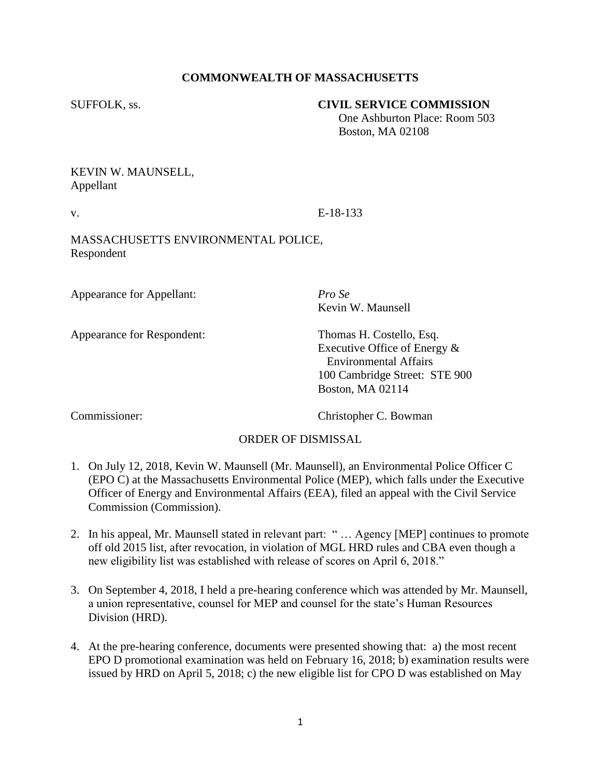## **COMMONWEALTH OF MASSACHUSETTS**

## SUFFOLK, ss. **CIVIL SERVICE COMMISSION**

 One Ashburton Place: Room 503 Boston, MA 02108

## KEVIN W. MAUNSELL, Appellant

v. E-18-133

MASSACHUSETTS ENVIRONMENTAL POLICE, Respondent

Appearance for Appellant: *Pro Se*

Appearance for Respondent: Thomas H. Costello, Esq.

Kevin W. Maunsell

Executive Office of Energy & Environmental Affairs 100 Cambridge Street: STE 900 Boston, MA 02114

Commissioner: Christopher C. Bowman

## ORDER OF DISMISSAL

- 1. On July 12, 2018, Kevin W. Maunsell (Mr. Maunsell), an Environmental Police Officer C (EPO C) at the Massachusetts Environmental Police (MEP), which falls under the Executive Officer of Energy and Environmental Affairs (EEA), filed an appeal with the Civil Service Commission (Commission).
- 2. In his appeal, Mr. Maunsell stated in relevant part: " … Agency [MEP] continues to promote off old 2015 list, after revocation, in violation of MGL HRD rules and CBA even though a new eligibility list was established with release of scores on April 6, 2018."
- 3. On September 4, 2018, I held a pre-hearing conference which was attended by Mr. Maunsell, a union representative, counsel for MEP and counsel for the state's Human Resources Division (HRD).
- 4. At the pre-hearing conference, documents were presented showing that: a) the most recent EPO D promotional examination was held on February 16, 2018; b) examination results were issued by HRD on April 5, 2018; c) the new eligible list for CPO D was established on May